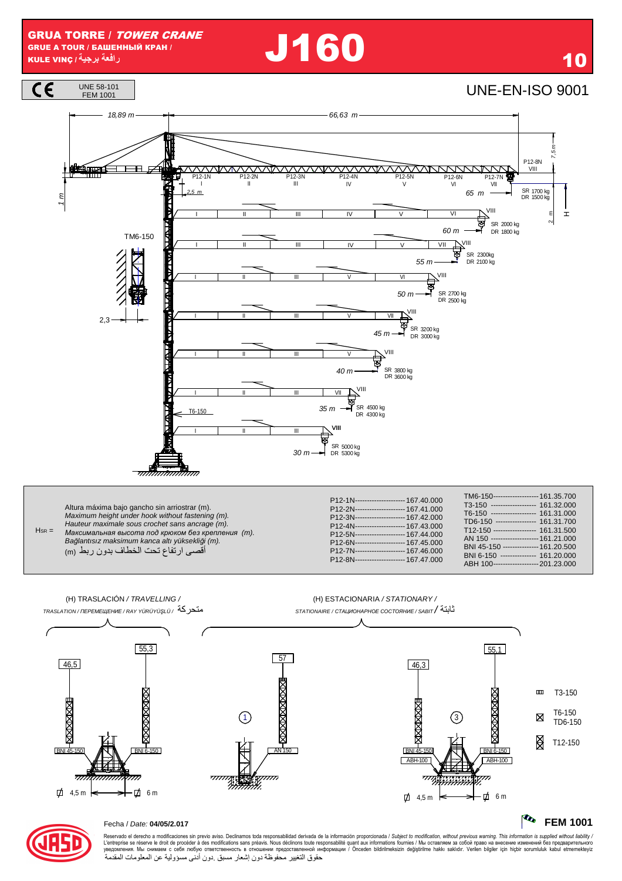**J160** 



Altura máxima bajo gancho sin arriostrar (m). Maximum height under hook without fastening (m).<br>Hauteur maximale sous crochet sans ancrage (m). **Пация планнию всих столить всих предлагателия** (m).  $H_{SR} =$ Bağlantısız maksimum kanca altı yüksekliği (m). أقصىي ارتفاع تحت الخطاف بدون ربط (m)

| P12-1N---------------------- 167.40.000<br>P12-2N---------------------- 167.41.000<br>P12-3N--------------------- 167.42.000<br>P12-4N--------------------- 167.43.000<br>P12-5N--------------------- 167.44.000<br>P12-6N--------------------- 167.45.000<br>P12-7N--------------------- 167.46.000<br>P12-8N--------------------- 167 47 000 | TM6-150------------------- 161.35.700<br>------------------- 161.32.000<br>$T3-150$<br>T6-150 ------------------ 161.31.000<br>TD6-150 ----------------- 161.31.700<br>T12-150 ------------------ 161.31.500<br>AN 150 -------------------- 161.21.000<br>BNI 45-150 --------------- 161.20.500<br>BNI 6-150 -------------- 161.20.000<br>ABH 100------------------- 201.23.000 |
|------------------------------------------------------------------------------------------------------------------------------------------------------------------------------------------------------------------------------------------------------------------------------------------------------------------------------------------------|---------------------------------------------------------------------------------------------------------------------------------------------------------------------------------------------------------------------------------------------------------------------------------------------------------------------------------------------------------------------------------|
|------------------------------------------------------------------------------------------------------------------------------------------------------------------------------------------------------------------------------------------------------------------------------------------------------------------------------------------------|---------------------------------------------------------------------------------------------------------------------------------------------------------------------------------------------------------------------------------------------------------------------------------------------------------------------------------------------------------------------------------|

(H) TRASLACIÓN / TRAVELLING / (H) ESTACIONARIA / STATIONARY / متحركة /تاmasLATION/ПЕРЕМЕЩЕНИЕ / RAY YÜRÜYÜŞLÜ تابتة/ STATIONAIRE / СТАЦИОНАРНОЕ СОСТОЯНИЕ / SABIT  $55,3$  $55,1$  $\sqrt{57}$ 46,5 46,3 **MAXWAXWAXWE**  $\mathbf{m}$ T3-150 **EXAMPLE XIXXXXXXXX MAXWAX** XIXXXXXXX T6-150 ∩ 3 ⊠ TD6-150 图 T12-150 BNI<sub>4</sub> RNI **BNI 45 RNI 6-150** ABH-10 **ABH-100** ייזקצי  $\overline{z}$ 恋 口 4,5 m **口** 6m  $\overrightarrow{p}$  4,5 m **力** 6m

#### **The FEM 1001**



### Fecha / Date: 04/05/2.017

Reservado el derecho a modificaciones sin previo aviso. Declinamos toda responsabilidad derivada de la información proporcionada / Subject to modification, without previous warning. This information is supplied without li حقوق التغيير محفوظة دون إشعار مسبق دون أدنى مسؤولية عن المعلومات المقدمة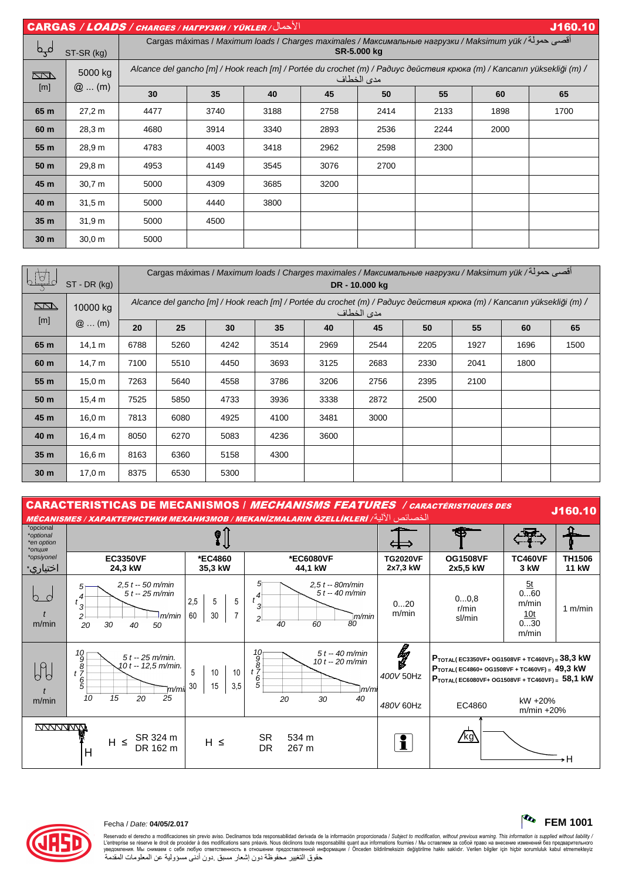|                 | $  \overline{CARGAS}$ / $\overline{LOADS}$ / снаrges / нагрузки / үüкler / $  \overline{C}$<br>J160.10 |                                                                                                                                       |                                                                                                                                          |      |      |      |      |      |      |  |  |  |
|-----------------|--------------------------------------------------------------------------------------------------------|---------------------------------------------------------------------------------------------------------------------------------------|------------------------------------------------------------------------------------------------------------------------------------------|------|------|------|------|------|------|--|--|--|
| مہم             | ST-SR (kg)                                                                                             |                                                                                                                                       | اقصي حمولة/ Cargas máximas / <i>Maximum loads</i> / Charges maximales / Максимальные нагрузки / Maksimum yük / أقصى حمولة<br>SR-5.000 kg |      |      |      |      |      |      |  |  |  |
| <u>kan</u>      | 5000 kg                                                                                                | Alcance del gancho [m] / Hook reach [m] / Portée du crochet (m) / Paðuyc действия крюка (m) / Kancanın yüksekliği (m) /<br>مدى الخطاف |                                                                                                                                          |      |      |      |      |      |      |  |  |  |
| [m]             | $@$ (m)                                                                                                | 30                                                                                                                                    | 35                                                                                                                                       | 40   | 45   | 50   | 55   | 60   | 65   |  |  |  |
| 65 m            | 27,2 m                                                                                                 | 4477                                                                                                                                  | 3740                                                                                                                                     | 3188 | 2758 | 2414 | 2133 | 1898 | 1700 |  |  |  |
| 60 m            | 28,3 m                                                                                                 | 4680                                                                                                                                  | 3914                                                                                                                                     | 3340 | 2893 | 2536 | 2244 | 2000 |      |  |  |  |
| 55 m            | 28,9 m                                                                                                 | 4783                                                                                                                                  | 4003                                                                                                                                     | 3418 | 2962 | 2598 | 2300 |      |      |  |  |  |
| 50 m            | 29,8 m                                                                                                 | 4953                                                                                                                                  | 4149                                                                                                                                     | 3545 | 3076 | 2700 |      |      |      |  |  |  |
| 45 m            | 30.7 <sub>m</sub>                                                                                      | 5000                                                                                                                                  | 4309                                                                                                                                     | 3685 | 3200 |      |      |      |      |  |  |  |
| 40 m            | 31.5 <sub>m</sub>                                                                                      | 5000                                                                                                                                  | 4440                                                                                                                                     | 3800 |      |      |      |      |      |  |  |  |
| 35 <sub>m</sub> | 31.9 m                                                                                                 | 5000                                                                                                                                  | 4500                                                                                                                                     |      |      |      |      |      |      |  |  |  |
| 30 <sub>m</sub> | 30,0 m                                                                                                 | 5000                                                                                                                                  |                                                                                                                                          |      |      |      |      |      |      |  |  |  |

| 640             | $ST$ - DR (kg)    |                                                                                                                                       | أقصي حمولة/ Cargas máximas / Maximum loads / Charges maximales / Максимальные нагрузки / Maksimum yük<br>DR - 10.000 kg |      |      |      |      |      |      |      |      |  |
|-----------------|-------------------|---------------------------------------------------------------------------------------------------------------------------------------|-------------------------------------------------------------------------------------------------------------------------|------|------|------|------|------|------|------|------|--|
| $\Box$          | 10000 kg          | Alcance del gancho [m] / Hook reach [m] / Portée du crochet (m) / Paðuyc действия крюка (m) / Kancanın yüksekliği (m) /<br>مدى الخطاف |                                                                                                                         |      |      |      |      |      |      |      |      |  |
| [m]             | $@$ (m)           | 20                                                                                                                                    | 25                                                                                                                      | 30   | 35   | 40   | 45   | 50   | 55   | 60   | 65   |  |
| 65 m            | 14.1 m            | 6788                                                                                                                                  | 5260                                                                                                                    | 4242 | 3514 | 2969 | 2544 | 2205 | 1927 | 1696 | 1500 |  |
| 60 m            | 14,7 m            | 7100                                                                                                                                  | 5510                                                                                                                    | 4450 | 3693 | 3125 | 2683 | 2330 | 2041 | 1800 |      |  |
| 55 m            | 15.0 m            | 7263                                                                                                                                  | 5640                                                                                                                    | 4558 | 3786 | 3206 | 2756 | 2395 | 2100 |      |      |  |
| 50 m            | 15,4 m            | 7525                                                                                                                                  | 5850                                                                                                                    | 4733 | 3936 | 3338 | 2872 | 2500 |      |      |      |  |
| 45 m            | 16.0 m            | 7813                                                                                                                                  | 6080                                                                                                                    | 4925 | 4100 | 3481 | 3000 |      |      |      |      |  |
| 40 m            | 16,4 m            | 8050                                                                                                                                  | 6270                                                                                                                    | 5083 | 4236 | 3600 |      |      |      |      |      |  |
| 35 m            | 16.6 <sub>m</sub> | 8163                                                                                                                                  | 6360                                                                                                                    | 5158 | 4300 |      |      |      |      |      |      |  |
| 30 <sub>m</sub> | 17.0 m            | 8375                                                                                                                                  | 6530                                                                                                                    | 5300 |      |      |      |      |      |      |      |  |

| <b>CARACTERISTICAS DE MECANISMOS / MECHANISMS FEATURES / CARACTÉRISTIQUES DES</b><br>J160.10<br>الخصائص الآلية/ MÉCANISMES / ХАРАКТЕРИСТИКИ МЕХАНИЗМОВ / MEKANIZMALARIN ÖZELLİKLERİ |                                                                                                                                     |                                  |                                                                                                                   |                             |                                                                                                                                                                                         |                                           |                               |  |  |  |
|-------------------------------------------------------------------------------------------------------------------------------------------------------------------------------------|-------------------------------------------------------------------------------------------------------------------------------------|----------------------------------|-------------------------------------------------------------------------------------------------------------------|-----------------------------|-----------------------------------------------------------------------------------------------------------------------------------------------------------------------------------------|-------------------------------------------|-------------------------------|--|--|--|
| *opcional<br>*optional<br>*en option<br>*опция                                                                                                                                      |                                                                                                                                     |                                  |                                                                                                                   |                             |                                                                                                                                                                                         |                                           |                               |  |  |  |
| *opsiyonel<br>اختياري∗                                                                                                                                                              | <b>EC3350VF</b><br>24,3 kW                                                                                                          | *EC4860<br>35,3 kW               | *EC6080VF<br>44,1 kW                                                                                              | <b>TG2020VF</b><br>2x7,3 kW | <b>OG1508VF</b><br>2x5,5 kW                                                                                                                                                             | <b>TC460VF</b><br>3 kW                    | <b>TH1506</b><br><b>11 kW</b> |  |  |  |
| $\bigcap$<br>m/min                                                                                                                                                                  | $2,5t - 50$ m/min<br>5<br>$5t - 25$ m/min<br>4<br>$t_{3}$<br>2<br>m/min<br>30<br>20<br>40<br>50                                     | 2,5<br>5<br>5<br>60<br>30        | $2,5t - 80m/min$<br>b<br>$5t - 40$ m/min<br>$t^{4^+}$<br>3<br>m/min<br>$\overline{2}$<br>60<br>40<br>80           | 020<br>m/min                | 00,8<br>r/min<br>sl/min                                                                                                                                                                 | 5t<br>060<br>m/min<br>10t<br>030<br>m/min | 1 $m/min$                     |  |  |  |
| m/min                                                                                                                                                                               | 10<br>9<br>$5t - 25$ m/min.<br>10 t -- 12,5 m/min.<br>$\frac{8}{t}$<br>$\frac{6}{5}$<br>\m/mi<br>25<br>10 <sup>10</sup><br>20<br>15 | 5<br>10<br>10<br>3,5<br>30<br>15 | $\frac{10}{8}$<br>$\frac{8}{7}$<br>$\frac{6}{5}$<br>$5t - 40$ m/min<br>10 $t - 20$ m/min<br>m/m<br>40<br>20<br>30 | łg<br>400V 50Hz             | $P_{\text{TOTAL}}$ (EC3350VF+ OG1508VF + TC460VF) = 38,3 kW<br>$P_{\text{TOTAL}}$ (EC4860+ OG1508VF + TC460VF) = 49,3 kW<br>$P_{\text{TOTAL}}$ (EC6080VF+ OG1508VF + TC460VF) = 58,1 kW | kW +20%                                   |                               |  |  |  |
| <u>IVVVVVVVMA</u>                                                                                                                                                                   | SR 324 m<br>$H \leq$<br>DR 162 m<br>H                                                                                               | $H \leq$                         | 534 m<br><b>SR</b><br><b>DR</b><br>267 m                                                                          | 480V 60Hz                   | EC4860<br><u>/kg\</u>                                                                                                                                                                   | $m/min + 20%$                             |                               |  |  |  |



# Fecha / Date: **04/05/2.017 FEM 1001**

Reservado el derecho a modificaciones sin previo aviso. Declinamos toda responsabilidad derivada de la información proporcionada / Subjec*t to modification, without previous warning. This information is supplied without*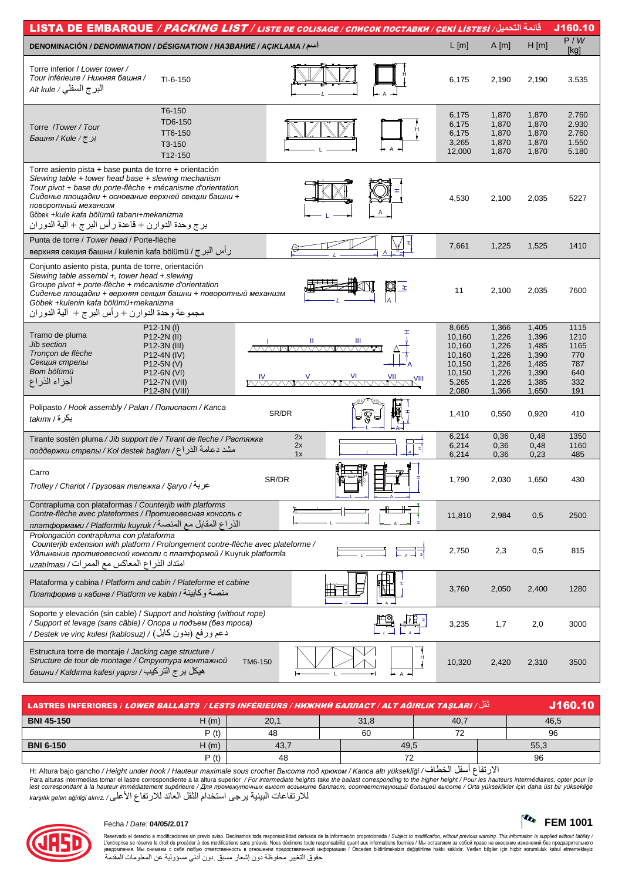| <u>قائمة التصيل/ LISTA DE EMBARQUE / PACKING LIST / LISTE DE COLISAGE / CПИСОК ПОСТАВКИ / ÇEKİ LISTESİ</u>                                                                                                                                                                                                                                                   |                                                                                                                                      |         |                                         |                   |                                                                           |                                                                      |                                                                      | J160.10                                                 |
|--------------------------------------------------------------------------------------------------------------------------------------------------------------------------------------------------------------------------------------------------------------------------------------------------------------------------------------------------------------|--------------------------------------------------------------------------------------------------------------------------------------|---------|-----------------------------------------|-------------------|---------------------------------------------------------------------------|----------------------------------------------------------------------|----------------------------------------------------------------------|---------------------------------------------------------|
| اسم/ DENOMINACIÓN / DENOMINATION / DÉSIGNATION / HA3BAHUE / AÇIKLAMA                                                                                                                                                                                                                                                                                         |                                                                                                                                      |         |                                         |                   | L[m]                                                                      | A[m]                                                                 | H[m]                                                                 | P/W<br>[kq]                                             |
| Torre inferior / Lower tower /<br>Tour inférieure / Нижняя башня /<br>البرج السفلي / Alt kule                                                                                                                                                                                                                                                                | $TI-6-150$                                                                                                                           |         |                                         |                   | 6,175                                                                     | 2,190                                                                | 2,190                                                                | 3.535                                                   |
| Torre /Tower/Tour<br>برج/Kule/ج                                                                                                                                                                                                                                                                                                                              | T6-150<br>TD6-150<br>TT6-150<br>T3-150<br>T12-150                                                                                    |         |                                         |                   | 6,175<br>6,175<br>6,175<br>3,265<br>12,000                                | 1,870<br>1,870<br>1,870<br>1,870<br>1,870                            | 1,870<br>1,870<br>1,870<br>1,870<br>1,870                            | 2.760<br>2.930<br>2.760<br>1.550<br>5.180               |
| Torre asiento pista + base punta de torre + orientación<br>Slewing table + tower head base + slewing mechanism<br>Tour pivot + base du porte-flèche + mécanisme d'orientation<br>Сиденье площадки + основание верхней секции башни +<br>поворотный механизм<br>Göbek +kule kafa bölümü tabanı+mekanizma<br>برج وحدة الدوارن + قاعدة رأس البرج + ألية الدوران |                                                                                                                                      |         |                                         |                   | 4,530                                                                     | 2,100                                                                | 2,035                                                                | 5227                                                    |
| Punta de torre / Tower head / Porte-flèche<br>ر أس البرج / верхняя секция башни / kulenin kafa bölümü                                                                                                                                                                                                                                                        |                                                                                                                                      |         |                                         |                   | 7,661                                                                     | 1,225                                                                | 1,525                                                                | 1410                                                    |
| Conjunto asiento pista, punta de torre, orientación<br>Slewing table assembl +, tower head + slewing<br>Groupe pivot + porte-flèche + mécanisme d'orientation<br>Сиденье площадки + верхняя секция башни + поворотный механизм<br>Göbek +kulenin kafa bölümü+mekanizma<br>مجموعة وحدة الدوارن + رأس البرج + ألية الدوران                                     |                                                                                                                                      |         |                                         | Ø<br>$\mathbf{z}$ | 11                                                                        | 2,100                                                                | 2,035                                                                | 7600                                                    |
| Tramo de pluma<br>Jib section<br>Tronçon de flèche<br>Секция стрелы<br>Bom bölümü<br>أجزاء الذراع                                                                                                                                                                                                                                                            | P12-1N(I)<br>P12-2N (II)<br>P12-3N (III)<br>P12-4N (IV)<br>$P12-5N (V)$<br>P <sub>12</sub> -6N (VI)<br>P12-7N (VII)<br>P12-8N (VIII) | IV      | Ш<br>Ш<br><u>VAAMAAAAAAMAAAAA</u><br>VI | VII               | 8,665<br>10,160<br>10,160<br>10,160<br>10,150<br>10,150<br>5,265<br>2,080 | 1,366<br>1,226<br>1,226<br>1,226<br>1,226<br>1,226<br>1,226<br>1,366 | 1,405<br>1,396<br>1,485<br>1,390<br>1,485<br>1,390<br>1,385<br>1,650 | 1115<br>1210<br>1165<br>770<br>787<br>640<br>332<br>191 |
| Polipasto / Hook assembly / Palan / Полиспаст / Kanca<br>بكرة/ takımı                                                                                                                                                                                                                                                                                        |                                                                                                                                      | SR/DR   |                                         | 圓                 | 1,410                                                                     | 0,550                                                                | 0,920                                                                | 410                                                     |
| Tirante sostén pluma / Jib support tie / Tirant de fleche / Растяжка<br>مشد دعامة الذراع/ поддержки стрелы / КоІ destek bağları                                                                                                                                                                                                                              |                                                                                                                                      |         | 2x<br>2x<br>1x                          |                   | 6,214<br>6,214<br>6,214                                                   | 0,36<br>0,36<br>0,36                                                 | 0,48<br>0,48<br>0,23                                                 | 1350<br>1160<br>485                                     |
| Carro<br>عربة/ Trolley / Chariot / Грузовая тележка / Şaryo                                                                                                                                                                                                                                                                                                  |                                                                                                                                      | SR/DR   |                                         |                   | 1,790                                                                     | 2,030                                                                | 1,650                                                                | 430                                                     |
| Contrapluma con plataformas / Counterjib with platforms<br>Contre-flèche avec plateformes / Противовесная консоль с<br>الذراع المقابل مع المنصة/ платформами / Platformlu kuyruk                                                                                                                                                                             |                                                                                                                                      |         |                                         |                   | 11,810                                                                    | 2,984                                                                | 0,5                                                                  | 2500                                                    |
| Prolongación contrapluma con plataforma<br>Counterjib extension with platform / Prolongement contre-flèche avec plateforme /<br>Удлинение противовесной консоли с платформой / Kuyruk platformla<br>امتداد الذراع المعاكس مع الممرات/ uzatılması                                                                                                             |                                                                                                                                      |         |                                         |                   | 2,750                                                                     | 2,3                                                                  | 0,5                                                                  | 815                                                     |
| Plataforma y cabina / Platform and cabin / Plateforme et cabine<br>платформа и кабина / Platform ve kabin / منصة وكابينة                                                                                                                                                                                                                                     |                                                                                                                                      |         |                                         |                   | 3,760                                                                     | 2,050                                                                | 2,400                                                                | 1280                                                    |
| Soporte y elevación (sin cable) / Support and hoisting (without rope)<br>/ Support et levage (sans câble) / Опора и подъем (без троса)<br>دعم ورفع (بدون كابل) / Destek ve vinç kulesi (kablosuz) /                                                                                                                                                          |                                                                                                                                      |         |                                         |                   | 3,235                                                                     | 1,7                                                                  | 2,0                                                                  | 3000                                                    |
| Estructura torre de montaje / Jacking cage structure /<br>Structure de tour de montage / Структура монтажной<br>هيكل بر ج التركيب/ башни / Kaldırma kafesi yapısı                                                                                                                                                                                            |                                                                                                                                      | TM6-150 |                                         | $\overline{A}$    | 10,320                                                                    | 2,420                                                                | 2,310                                                                | 3500                                                    |

| نْقُلْ/ LASTRES INFERIORES / L <i>OWER BALLASTS / LESTS INFÉRIEURS / НИЖНИЙ БАЛЛАСТ / ALT AĞIRLIK TAŞLARI</i> | J160.10 |      |      |      |   |      |
|---------------------------------------------------------------------------------------------------------------|---------|------|------|------|---|------|
| <b>BNI 45-150</b>                                                                                             | H(m)    | 20,1 | 31,8 | 40.7 |   | 46,5 |
|                                                                                                               | P(t)    | 48   | 60   | ⇁    |   | 96   |
| <b>BNI 6-150</b>                                                                                              | H(m)    | 43.  |      | 49,5 |   |      |
|                                                                                                               | P(t)    | 48   |      |      |   | 96   |
|                                                                                                               |         |      |      | .    | . |      |

الارتفاع أسفل الخطاف/ H: Altura bajo gancho / Height under hook / Hauteur maximale sous crochet *Высота под крюком / Kanca altı yüksekliği* / Para alturas intermedias tomar el lastre correspondiente a la altura superior / For intermediate heights take the ballast corresponding to the higher height / Pour les hauteurs intermédiaires, opter pour le<br>lest correspon للارتفاعات البينية يرجى استخدام الثقل العائد للارتفاع الأعلى/ karşılık gelen ağirliği alınız



.

## Fecha / Date: **04/05/2.017 FEM 1001**

Reservado el derecho a modificaciones sin previo aviso. Declinamos toda responsabilidad derivada de la información proporcionada / Subjec*t to modification, without previous warning. This information is supplied without*